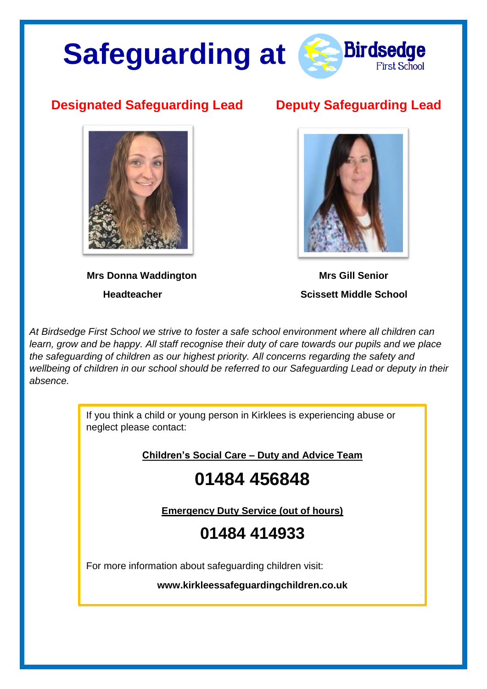# **Safeguarding at**



#### **Designated Safeguarding Lead Deputy Safeguarding Lead**



**Mrs Donna Waddington Mrs Gill Senior** 



 **Headteacher Scissett Middle School**

*At Birdsedge First School we strive to foster a safe school environment where all children can learn, grow and be happy. All staff recognise their duty of care towards our pupils and we place the safeguarding of children as our highest priority. All concerns regarding the safety and wellbeing of children in our school should be referred to our Safeguarding Lead or deputy in their absence.* 

> If you think a child or young person in Kirklees is experiencing abuse or neglect please contact:

> > **Children's Social Care – Duty and Advice Team**

### **01484 456848**

**Emergency Duty Service (out of hours)**

#### **01484 414933**

For more information about safeguarding children visit:

**www.kirkleessafeguardingchildren.co.uk**